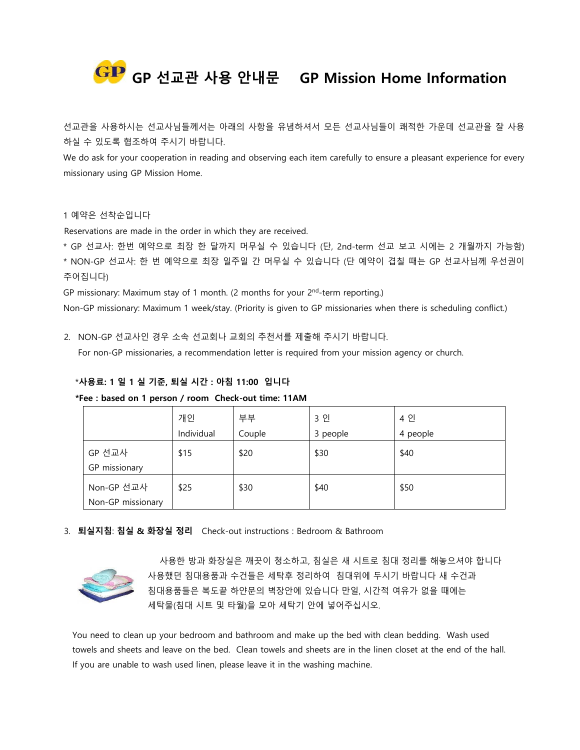

선교관을 사용하시는 선교사님들께서는 아래의 사항을 유념하셔서 모든 선교사님들이 쾌적한 가운데 선교관을 잘 사용 하실 수 있도록 협조하여 주시기 바랍니다.

We do ask for your cooperation in reading and observing each item carefully to ensure a pleasant experience for every missionary using GP Mission Home.

## 1 예약은 선착순입니다

Reservations are made in the order in which they are received.

\* GP 선교사: 한번 예약으로 최장 한 달까지 머무실 수 있습니다 (단, 2nd-term 선교 보고 시에는 2 개월까지 가능함) \* NON-GP 선교사: 한 번 예약으로 최장 일주일 간 머무실 수 있습니다 (단 예약이 겹칠 때는 GP 선교사님께 우선권이 주어집니다)

GP missionary: Maximum stay of 1 month. (2 months for your  $2<sup>nd</sup>$ -term reporting.)

Non-GP missionary: Maximum 1 week/stay. (Priority is given to GP missionaries when there is scheduling conflict.)

2. NON-GP 선교사인 경우 소속 선교회나 교회의 추천서를 제출해 주시기 바랍니다.

For non-GP missionaries, a recommendation letter is required from your mission agency or church.

## \***사용료: 1 일 1 실 기준, 퇴실 시간 : 아침 11:00 입니다**

 **\*Fee : based on 1 person / room Check-out time: 11AM**

|                                 | 개인<br>Individual | 부부<br>Couple | 3 인<br>3 people | 4 인<br>4 people |
|---------------------------------|------------------|--------------|-----------------|-----------------|
| GP 선교사<br>GP missionary         | \$15             | \$20         | \$30            | \$40            |
| Non-GP 선교사<br>Non-GP missionary | \$25             | \$30         | \$40            | \$50            |

3. **퇴실지침**: **침실 & 화장실 정리** Check-out instructions : Bedroom & Bathroom



 사용한 방과 화장실은 깨끗이 청소하고, 침실은 새 시트로 침대 정리를 해놓으셔야 합니다 사용했던 침대용품과 수건들은 세탁후 정리하여 침대위에 두시기 바랍니다 새 수건과 침대용품들은 복도끝 하얀문의 벽장안에 있습니다 만일, 시간적 여유가 없을 때에는 세탁물(침대 시트 및 타월)을 모아 세탁기 안에 넣어주십시오.

You need to clean up your bedroom and bathroom and make up the bed with clean bedding. Wash used towels and sheets and leave on the bed. Clean towels and sheets are in the linen closet at the end of the hall. If you are unable to wash used linen, please leave it in the washing machine.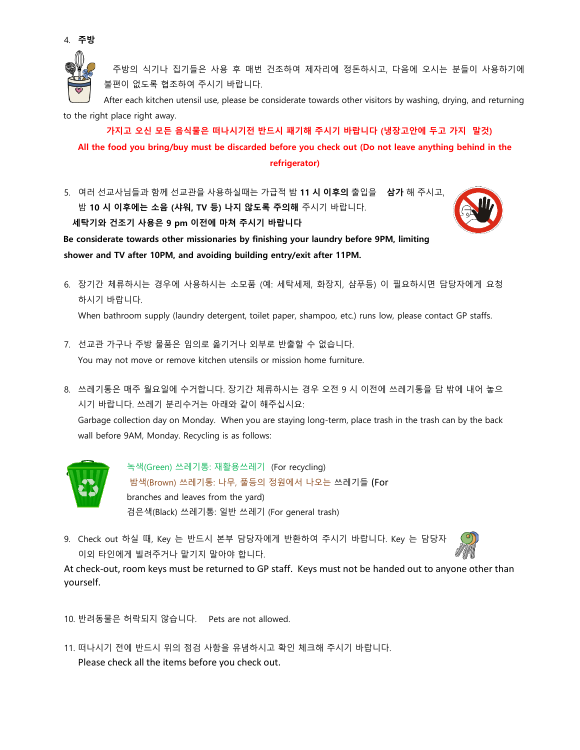

 주방의 식기나 집기들은 사용 후 매번 건조하여 제자리에 정돈하시고, 다음에 오시는 분들이 사용하기에 불편이 없도록 협조하여 주시기 바랍니다.

After each kitchen utensil use, please be considerate towards other visitors by washing, drying, and returning to the right place right away.

 **가지고 오신 모든 음식물은 떠나시기전 반드시 패기해 주시기 바랍니다 (냉장고안에 두고 가지 말것) All the food you bring/buy must be discarded before you check out (Do not leave anything behind in the refrigerator)**

5. 여러 선교사님들과 함께 선교관을 사용하실때는 가급적 밤 **11 시 이후의** 출입을 **삼가** 해 주시고, 밤 **10 시 이후에는 소음 (샤워, TV 등) 나지 않도록 주의해** 주시기 바랍니다. **세탁기와 건조기 사용은 9 pm 이전에 마쳐 주시기 바랍니다**



**Be considerate towards other missionaries by finishing your laundry before 9PM, limiting shower and TV after 10PM, and avoiding building entry/exit after 11PM.** 

6. 장기간 체류하시는 경우에 사용하시는 소모품 (예: 세탁세제, 화장지, 샴푸등) 이 필요하시면 담당자에게 요청 하시기 바랍니다.

When bathroom supply (laundry detergent, toilet paper, shampoo, etc.) runs low, please contact GP staffs.

- 7. 선교관 가구나 주방 물품은 임의로 옮기거나 외부로 반출할 수 없습니다. You may not move or remove kitchen utensils or mission home furniture.
- 8. 쓰레기통은 매주 월요일에 수거합니다. 장기간 체류하시는 경우 오전 9 시 이전에 쓰레기통을 담 밖에 내어 놓으 시기 바랍니다. 쓰레기 분리수거는 아래와 같이 해주십시요:

Garbage collection day on Monday. When you are staying long-term, place trash in the trash can by the back wall before 9AM, Monday. Recycling is as follows:



녹색(Green) 쓰레기통: 재활용쓰레기 (For recycling) 밤색(Brown) 쓰레기통: 나무, 풀등의 정원에서 나오는 쓰레기들 (For branches and leaves from the yard) 검은색(Black) 쓰레기통: 일반 쓰레기 (For general trash)

9. Check out 하실 때, Key 는 반드시 본부 담당자에게 반환하여 주시기 바랍니다. Key 는 담당자 이외 타인에게 빌려주거나 맡기지 말아야 합니다.



At check-out, room keys must be returned to GP staff. Keys must not be handed out to anyone other than yourself.

10. 반려동물은 허락되지 않습니다. Pets are not allowed.

11. 떠나시기 전에 반드시 위의 점검 사항을 유념하시고 확인 체크해 주시기 바랍니다. Please check all the items before you check out.